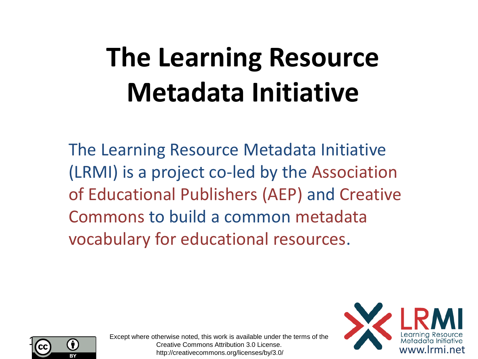# **The Learning Resource Metadata Initiative**

The Learning Resource Metadata Initiative (LRMI) is a project co-led by the Association of Educational Publishers (AEP) and Creative Commons to build a common metadata vocabulary for educational resources.





Except where otherwise noted, this work is available under the terms of the Creative Commons Attribution 3.0 License. http://creativecommons.org/licenses/by/3.0/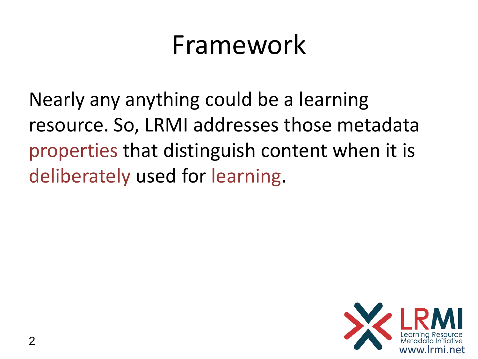#### Framework

Nearly any anything could be a learning resource. So, LRMI addresses those metadata properties that distinguish content when it is deliberately used for learning.

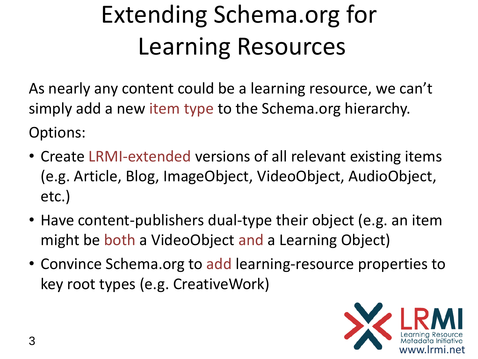#### Extending Schema.org for Learning Resources

As nearly any content could be a learning resource, we can't simply add a new item type to the Schema.org hierarchy. Options:

- Create LRMI-extended versions of all relevant existing items (e.g. Article, Blog, ImageObject, VideoObject, AudioObject, etc.)
- Have content-publishers dual-type their object (e.g. an item might be both a VideoObject and a Learning Object)
- Convince Schema.org to add learning-resource properties to key root types (e.g. CreativeWork)

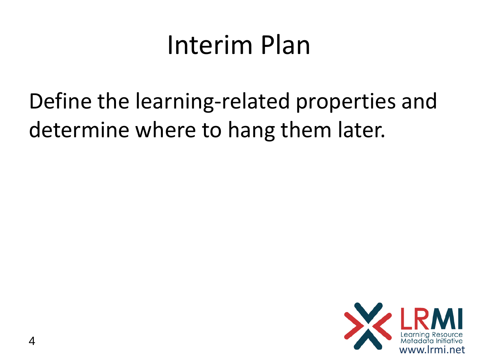#### Interim Plan

Define the learning-related properties and determine where to hang them later.

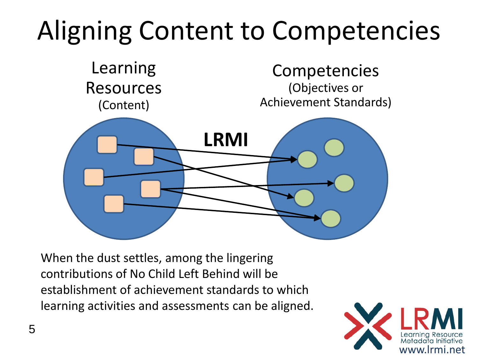# Aligning Content to Competencies



When the dust settles, among the lingering contributions of No Child Left Behind will be establishment of achievement standards to which learning activities and assessments can be aligned.

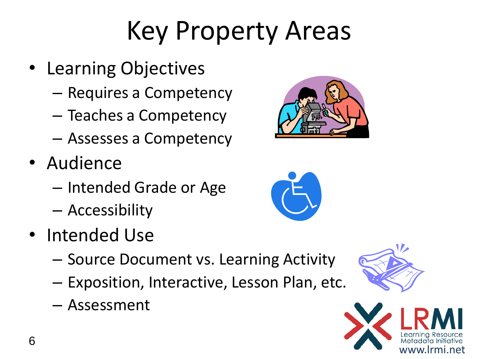### Key Property Areas

- Learning Objectives
	- Requires a Competency
	- Teaches a Competency
	- Assesses a Competency
- Audience
	- Intended Grade or Age
	- Accessibility
- Intended Use
	- Source Document vs. Learning Activity
	- Exposition, Interactive, Lesson Plan, etc.
	- Assessment







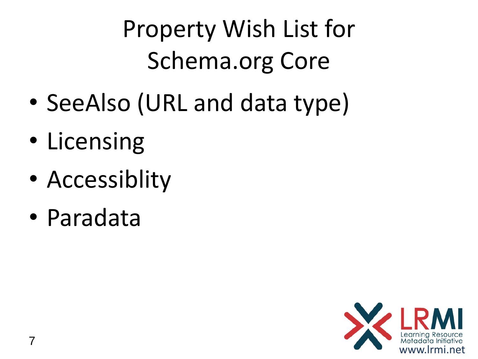Property Wish List for Schema.org Core

- SeeAlso (URL and data type)
- Licensing
- Accessiblity
- Paradata

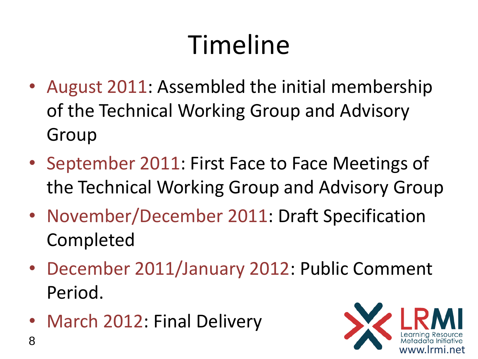# Timeline

- August 2011: Assembled the initial membership of the Technical Working Group and Advisory Group
- September 2011: First Face to Face Meetings of the Technical Working Group and Advisory Group
- November/December 2011: Draft Specification Completed
- December 2011/January 2012: Public Comment Period.
- March 2012: Final Delivery

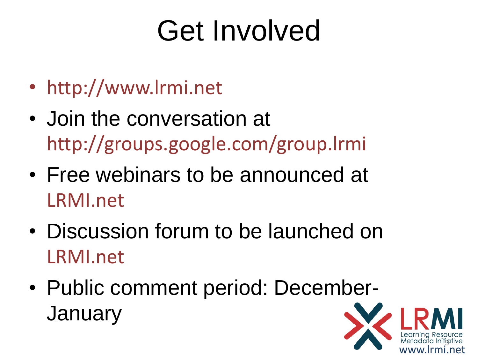# Get Involved

- http://www.lrmi.net
- Join the conversation at http://groups.google.com/group.lrmi
- Free webinars to be announced at LRMI.net
- Discussion forum to be launched on LRMI.net
- Public comment period: December-**January**